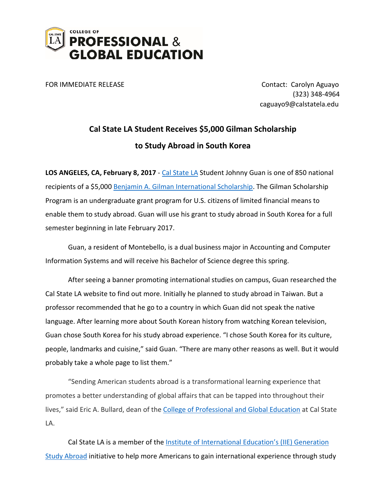

FOR IMMEDIATE RELEASE **CONTACT CONTACT** Carolyn Aguayo (323) 348-4964 caguayo9@calstatela.edu

## **Cal State LA Student Receives \$5,000 Gilman Scholarship to Study Abroad in South Korea**

LOS ANGELES, CA, February 8, 2017 - [Cal State LA](http://www.calstatela.edu/) Student Johnny Guan is one of 850 national recipients of a \$5,000 [Benjamin A. Gilman International Scholarship.](http://www.iie.org/Programs/Gilman-Scholarship-Program#.WI9_dFUrJEY) The Gilman Scholarship Program is an undergraduate grant program for U.S. citizens of limited financial means to enable them to study abroad. Guan will use his grant to study abroad in South Korea for a full semester beginning in late February 2017.

Guan, a resident of Montebello, is a dual business major in Accounting and Computer Information Systems and will receive his Bachelor of Science degree this spring.

After seeing a banner promoting international studies on campus, Guan researched the Cal State LA website to find out more. Initially he planned to study abroad in Taiwan. But a professor recommended that he go to a country in which Guan did not speak the native language. After learning more about South Korean history from watching Korean television, Guan chose South Korea for his study abroad experience. "I chose South Korea for its culture, people, landmarks and cuisine," said Guan. "There are many other reasons as well. But it would probably take a whole page to list them."

"Sending American students abroad is a transformational learning experience that promotes a better understanding of global affairs that can be tapped into throughout their lives," said Eric A. Bullard, dean of the [College of Professional and Global Education](http://www.calstatela.edu/page) at Cal State LA.

Cal State LA is a member of the Institute of International Education's (IIE) Generation [Study Abroad](http://www.iie.org/Programs/Generation-Study-Abroad/#.WI-COVUrJEY) initiative to help more Americans to gain international experience through study